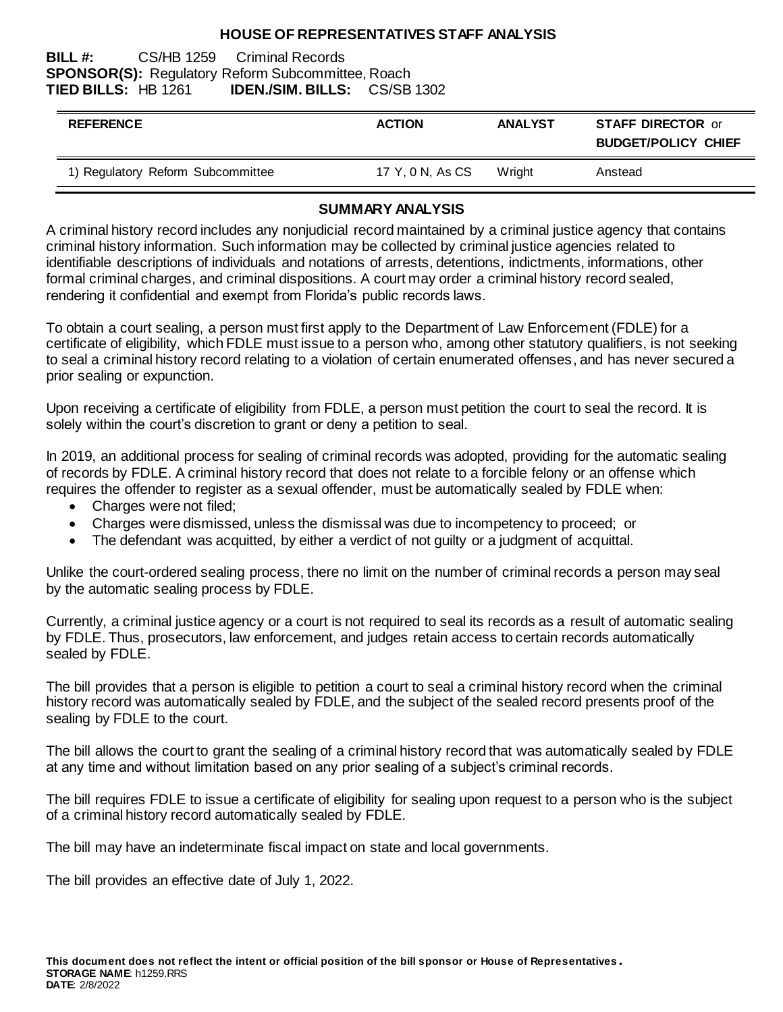### **HOUSE OF REPRESENTATIVES STAFF ANALYSIS**

### **BILL #:** CS/HB 1259 Criminal Records **SPONSOR(S):** Regulatory Reform Subcommittee, Roach **TIED BILLS:** HB 1261 **IDEN./SIM. BILLS:** CS/SB 1302

| <b>REFERENCE</b>                  | <b>ACTION</b>    | <b>ANALYST</b> | <b>STAFF DIRECTOR or</b><br><b>BUDGET/POLICY CHIEF</b> |
|-----------------------------------|------------------|----------------|--------------------------------------------------------|
| 1) Regulatory Reform Subcommittee | 17 Y, 0 N, As CS | Wright         | Anstead                                                |

## **SUMMARY ANALYSIS**

A criminal history record includes any nonjudicial record maintained by a criminal justice agency that contains criminal history information. Such information may be collected by criminal justice agencies related to identifiable descriptions of individuals and notations of arrests, detentions, indictments, informations, other formal criminal charges, and criminal dispositions. A court may order a criminal history record sealed, rendering it confidential and exempt from Florida's public records laws.

To obtain a court sealing, a person must first apply to the Department of Law Enforcement (FDLE) for a certificate of eligibility, which FDLE must issue to a person who, among other statutory qualifiers, is not seeking to seal a criminal history record relating to a violation of certain enumerated offenses, and has never secured a prior sealing or expunction.

Upon receiving a certificate of eligibility from FDLE, a person must petition the court to seal the record. It is solely within the court's discretion to grant or deny a petition to seal.

In 2019, an additional process for sealing of criminal records was adopted, providing for the automatic sealing of records by FDLE. A criminal history record that does not relate to a forcible felony or an offense which requires the offender to register as a sexual offender, must be automatically sealed by FDLE when:

- Charges were not filed;
- Charges were dismissed, unless the dismissal was due to incompetency to proceed; or
- The defendant was acquitted, by either a verdict of not guilty or a judgment of acquittal.

Unlike the court-ordered sealing process, there no limit on the number of criminal records a person may seal by the automatic sealing process by FDLE.

Currently, a criminal justice agency or a court is not required to seal its records as a result of automatic sealing by FDLE. Thus, prosecutors, law enforcement, and judges retain access to certain records automatically sealed by FDLE.

The bill provides that a person is eligible to petition a court to seal a criminal history record when the criminal history record was automatically sealed by FDLE, and the subject of the sealed record presents proof of the sealing by FDLE to the court.

The bill allows the court to grant the sealing of a criminal history record that was automatically sealed by FDLE at any time and without limitation based on any prior sealing of a subject's criminal records.

The bill requires FDLE to issue a certificate of eligibility for sealing upon request to a person who is the subject of a criminal history record automatically sealed by FDLE.

The bill may have an indeterminate fiscal impact on state and local governments.

The bill provides an effective date of July 1, 2022.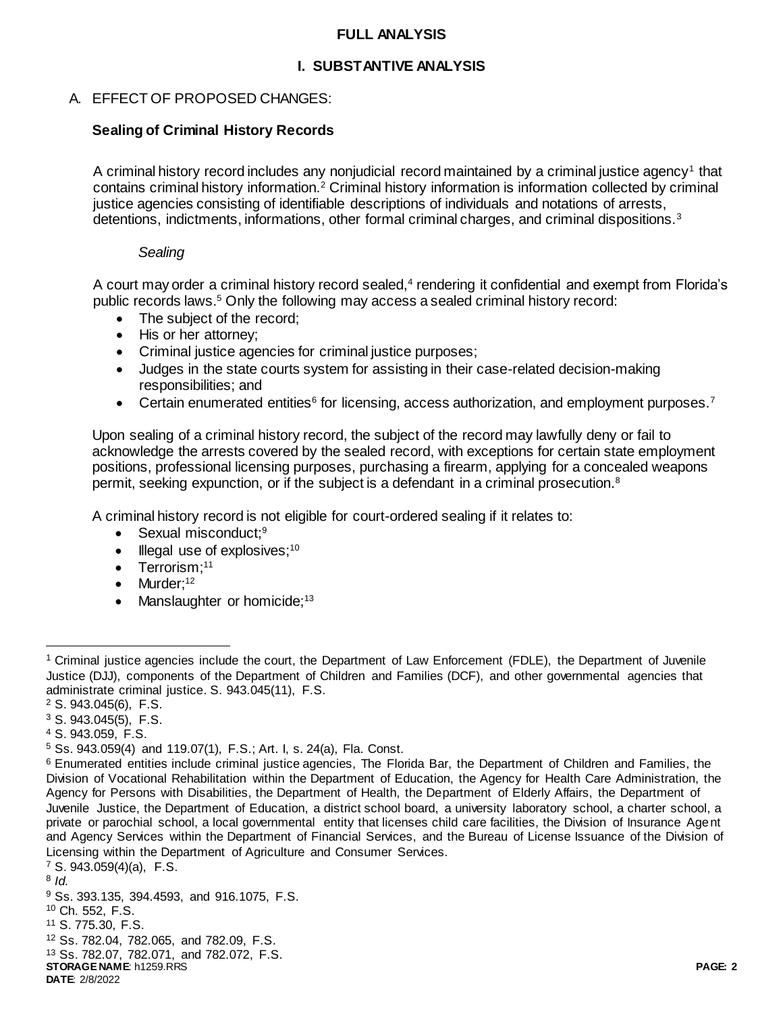### **FULL ANALYSIS**

# **I. SUBSTANTIVE ANALYSIS**

# A. EFFECT OF PROPOSED CHANGES:

# **Sealing of Criminal History Records**

A criminal history record includes any nonjudicial record maintained by a criminal justice agency<sup>1</sup> that contains criminal history information.<sup>2</sup> Criminal history information is information collected by criminal justice agencies consisting of identifiable descriptions of individuals and notations of arrests, detentions, indictments, informations, other formal criminal charges, and criminal dispositions.<sup>3</sup>

### *Sealing*

A court may order a criminal history record sealed,<sup>4</sup> rendering it confidential and exempt from Florida's public records laws.<sup>5</sup> Only the following may access a sealed criminal history record:

- The subject of the record:
- His or her attorney;
- Criminal justice agencies for criminal justice purposes;
- Judges in the state courts system for assisting in their case-related decision-making responsibilities; and
- Certain enumerated entities<sup>6</sup> for licensing, access authorization, and employment purposes.<sup>7</sup>

Upon sealing of a criminal history record, the subject of the record may lawfully deny or fail to acknowledge the arrests covered by the sealed record, with exceptions for certain state employment positions, professional licensing purposes, purchasing a firearm, applying for a concealed weapons permit, seeking expunction, or if the subject is a defendant in a criminal prosecution.<sup>8</sup>

A criminal history record is not eligible for court-ordered sealing if it relates to:

- $\bullet$  Sexual misconduct;<sup>9</sup>
- $\bullet$  Illegal use of explosives;<sup>10</sup>
- $\bullet$  Terrorism;<sup>11</sup>
- $\bullet$  Murder;<sup>12</sup>
- Manslaughter or homicide; $13$

 $\overline{a}$ 

**STORAGE NAME**: h1259.RRS **PAGE: 2 DATE**: 2/8/2022 S. 943.059(4)(a), F.S. 8 *Id.* Ss. 393.135, 394.4593, and 916.1075, F.S. Ch. 552, F.S. S. 775.30, F.S. Ss. 782.04, 782.065, and 782.09, F.S. Ss. 782.07, 782.071, and 782.072, F.S.

<sup>1</sup> Criminal justice agencies include the court, the Department of Law Enforcement (FDLE), the Department of Juvenile Justice (DJJ), components of the Department of Children and Families (DCF), and other governmental agencies that administrate criminal justice. S. 943.045(11), F.S.

<sup>2</sup> S. 943.045(6), F.S.

 $3$  S. 943.045(5), F.S.

<sup>4</sup> S. 943.059, F.S.

<sup>5</sup> Ss. 943.059(4) and 119.07(1), F.S.; Art. I, s. 24(a), Fla. Const.

<sup>6</sup> Enumerated entities include criminal justice agencies, The Florida Bar, the Department of Children and Families, the Division of Vocational Rehabilitation within the Department of Education, the Agency for Health Care Administration, the Agency for Persons with Disabilities, the Department of Health, the Department of Elderly Affairs, the Department of Juvenile Justice, the Department of Education, a district school board, a university laboratory school, a charter school, a private or parochial school, a local governmental entity that licenses child care facilities, the Division of Insurance Agent and Agency Services within the Department of Financial Services, and the Bureau of License Issuance of the Division of Licensing within the Department of Agriculture and Consumer Services.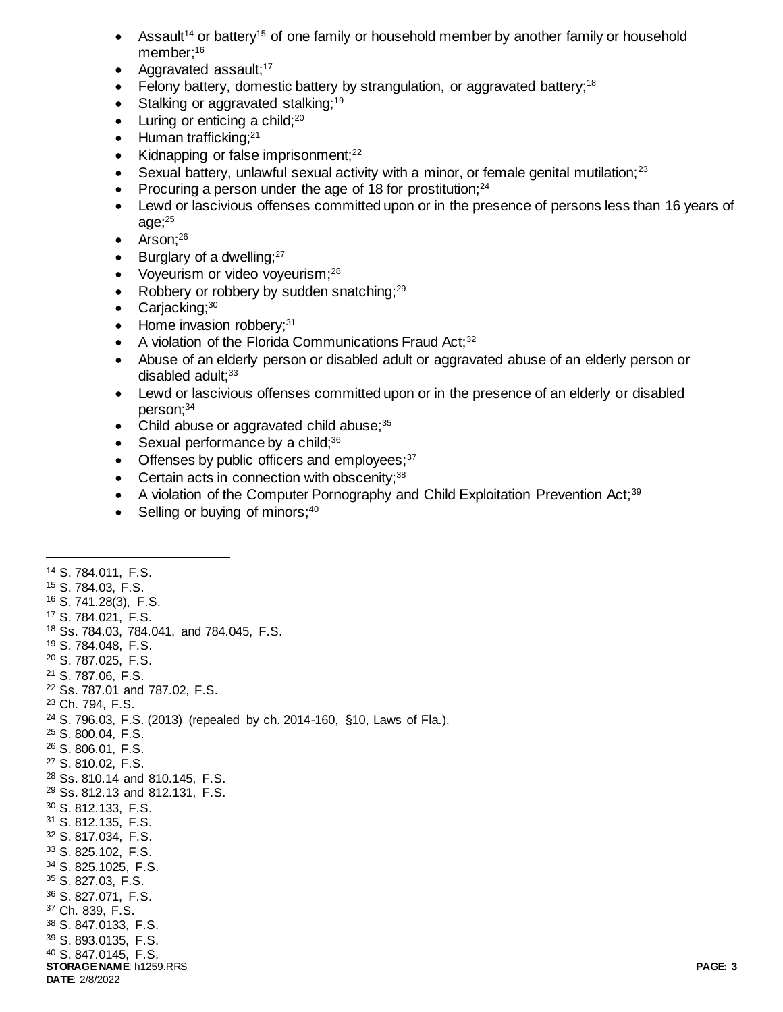- Assault<sup>14</sup> or battery<sup>15</sup> of one family or household member by another family or household member:<sup>16</sup>
- Aggravated assault; $17$
- Felony battery, domestic battery by strangulation, or aggravated battery;<sup>18</sup>
- Stalking or aggravated stalking;<sup>19</sup>
- $\bullet$  Luring or enticing a child:<sup>20</sup>
- $\bullet$  Human trafficking;<sup>21</sup>
- Kidnapping or false imprisonment; $^{22}$
- $\bullet$  Sexual battery, unlawful sexual activity with a minor, or female genital mutilation;<sup>23</sup>
- Procuring a person under the age of 18 for prostitution; $^{24}$
- Lewd or lascivious offenses committed upon or in the presence of persons less than 16 years of age; $25$
- $\bullet$  Arson;<sup>26</sup>

 $\overline{a}$ 

- $\bullet$  Burglary of a dwelling;  $27$
- Voyeurism or video voveurism:<sup>28</sup>
- Robbery or robbery by sudden snatching; $^{29}$
- Carjacking; $30$
- $\bullet$  Home invasion robbery; $31$
- $\bullet$  A violation of the Florida Communications Fraud Act;<sup>32</sup>
- Abuse of an elderly person or disabled adult or aggravated abuse of an elderly person or disabled adult: $33$
- Lewd or lascivious offenses committed upon or in the presence of an elderly or disabled person;<sup>34</sup>
- Child abuse or aggravated child abuse; $35$
- $\bullet$  Sexual performance by a child;<sup>36</sup>
- $\bullet$  Offenses by public officers and employees;  $37$
- $\bullet$  Certain acts in connection with obscenity;  $38$
- A violation of the Computer Pornography and Child Exploitation Prevention Act;<sup>39</sup>
- $\bullet$  Selling or buying of minors;  $40$

#### **STORAGE NAME**: h1259.RRS **PAGE: 3 DATE**: 2/8/2022 <sup>14</sup> S. 784.011, F.S. <sup>15</sup> S. 784.03, F.S. <sup>16</sup> S. 741.28(3), F.S. <sup>17</sup> S. 784.021, F.S. <sup>18</sup> Ss. 784.03, 784.041, and 784.045, F.S. <sup>19</sup> S. 784.048, F.S. <sup>20</sup> S. 787.025, F.S. <sup>21</sup> S. 787.06, F.S. <sup>22</sup> Ss. 787.01 and 787.02, F.S. <sup>23</sup> Ch. 794, F.S. <sup>24</sup> S. 796.03, F.S. (2013) (repealed by ch. 2014-160, §10, Laws of Fla.). <sup>25</sup> S. 800.04, F.S. <sup>26</sup> S. 806.01, F.S. <sup>27</sup> S. 810.02, F.S. <sup>28</sup> Ss. 810.14 and 810.145, F.S. <sup>29</sup> Ss. 812.13 and 812.131, F.S. <sup>30</sup> S. 812.133, F.S. <sup>31</sup> S. 812.135, F.S. <sup>32</sup> S. 817.034, F.S. <sup>33</sup> S. 825.102, F.S. <sup>34</sup> S. 825.1025, F.S. <sup>35</sup> S. 827.03, F.S. <sup>36</sup> S. 827.071, F.S. <sup>37</sup> Ch. 839, F.S. <sup>38</sup> S. 847.0133, F.S. <sup>39</sup> S. 893.0135, F.S. <sup>40</sup> S. 847.0145, F.S.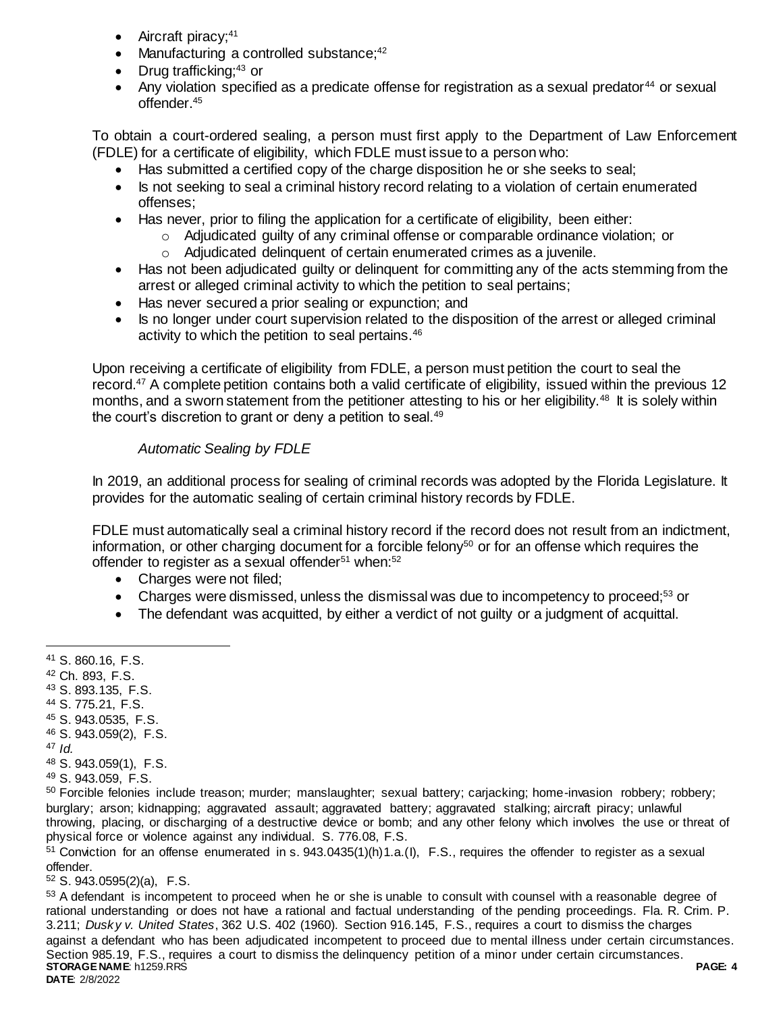- Aircraft piracy;<sup>41</sup>
- Manufacturing a controlled substance;<sup>42</sup>
- Drug trafficking; $43$  or
- Any violation specified as a predicate offense for registration as a sexual predator<sup>44</sup> or sexual offender.<sup>45</sup>

To obtain a court-ordered sealing, a person must first apply to the Department of Law Enforcement (FDLE) for a certificate of eligibility, which FDLE must issue to a person who:

- Has submitted a certified copy of the charge disposition he or she seeks to seal;
- Is not seeking to seal a criminal history record relating to a violation of certain enumerated offenses;
- Has never, prior to filing the application for a certificate of eligibility, been either:
	- $\circ$  Adjudicated guilty of any criminal offense or comparable ordinance violation; or
	- o Adjudicated delinquent of certain enumerated crimes as a juvenile.
- Has not been adjudicated quilty or delinquent for committing any of the acts stemming from the arrest or alleged criminal activity to which the petition to seal pertains;
- Has never secured a prior sealing or expunction; and
- Is no longer under court supervision related to the disposition of the arrest or alleged criminal activity to which the petition to seal pertains.<sup>46</sup>

Upon receiving a certificate of eligibility from FDLE, a person must petition the court to seal the record.<sup>47</sup> A complete petition contains both a valid certificate of eligibility, issued within the previous 12 months, and a sworn statement from the petitioner attesting to his or her eligibility.<sup>48</sup> It is solely within the court's discretion to grant or deny a petition to seal. $49$ 

# *Automatic Sealing by FDLE*

In 2019, an additional process for sealing of criminal records was adopted by the Florida Legislature. It provides for the automatic sealing of certain criminal history records by FDLE.

FDLE must automatically seal a criminal history record if the record does not result from an indictment, information, or other charging document for a forcible felony<sup>50</sup> or for an offense which requires the offender to register as a sexual offender<sup>51</sup> when:<sup>52</sup>

- Charges were not filed;
- Charges were dismissed, unless the dismissal was due to incompetency to proceed;<sup>53</sup> or
- The defendant was acquitted, by either a verdict of not guilty or a judgment of acquittal.

- <sup>42</sup> Ch. 893, F.S.
- <sup>43</sup> S. 893.135, F.S.
- <sup>44</sup> S. 775.21, F.S.
- <sup>45</sup> S. 943.0535, F.S.
- <sup>46</sup> S. 943.059(2), F.S.
- <sup>47</sup> *Id.*

 $\overline{a}$ 

- <sup>48</sup> S. 943.059(1), F.S.
- <sup>49</sup> S. 943.059, F.S.

<sup>50</sup> Forcible felonies include treason; murder; manslaughter; sexual battery; carjacking; home-invasion robbery; robbery; burglary; arson; kidnapping; aggravated assault; aggravated battery; aggravated stalking; aircraft piracy; unlawful throwing, placing, or discharging of a destructive device or bomb; and any other felony which involves the use or threat of physical force or violence against any individual. S. 776.08, F.S.

 $51$  Conviction for an offense enumerated in s. 943.0435(1)(h)1.a.(I), F.S., requires the offender to register as a sexual offender.

<sup>52</sup> S. 943.0595(2)(a), F.S.

**STORAGE NAME**: h1259.RRS **PAGE: 4 DATE**: 2/8/2022 <sup>53</sup> A defendant is incompetent to proceed when he or she is unable to consult with counsel with a reasonable degree of rational understanding or does not have a rational and factual understanding of the pending proceedings. Fla. R. Crim. P. 3.211; *Dusky v. United States*, 362 U.S. 402 (1960). Section 916.145, F.S., requires a court to dismiss the charges against a defendant who has been adjudicated incompetent to proceed due to mental illness under certain circumstances. Section 985.19, F.S., requires a court to dismiss the delinquency petition of a minor under certain circumstances.

<sup>41</sup> S. 860.16, F.S.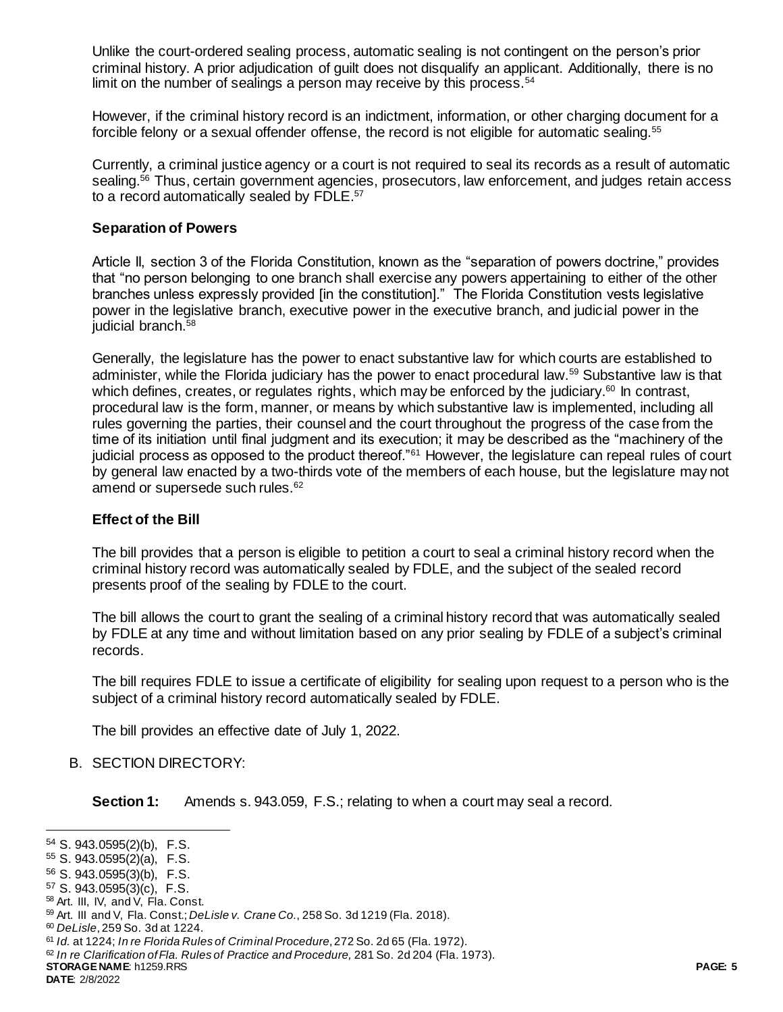Unlike the court-ordered sealing process, automatic sealing is not contingent on the person's prior criminal history. A prior adjudication of guilt does not disqualify an applicant. Additionally, there is no limit on the number of sealings a person may receive by this process.<sup>54</sup>

However, if the criminal history record is an indictment, information, or other charging document for a forcible felony or a sexual offender offense, the record is not eligible for automatic sealing.<sup>55</sup>

Currently, a criminal justice agency or a court is not required to seal its records as a result of automatic sealing.<sup>56</sup> Thus, certain government agencies, prosecutors, law enforcement, and judges retain access to a record automatically sealed by FDLE.<sup>57</sup>

### **Separation of Powers**

Article II, section 3 of the Florida Constitution, known as the "separation of powers doctrine," provides that "no person belonging to one branch shall exercise any powers appertaining to either of the other branches unless expressly provided [in the constitution]." The Florida Constitution vests legislative power in the legislative branch, executive power in the executive branch, and judicial power in the judicial branch.<sup>58</sup>

Generally, the legislature has the power to enact substantive law for which courts are established to administer, while the Florida judiciary has the power to enact procedural law.<sup>59</sup> Substantive law is that which defines, creates, or regulates rights, which may be enforced by the judiciary.<sup>60</sup> In contrast, procedural law is the form, manner, or means by which substantive law is implemented, including all rules governing the parties, their counsel and the court throughout the progress of the case from the time of its initiation until final judgment and its execution; it may be described as the "machinery of the judicial process as opposed to the product thereof."<sup>61</sup> However, the legislature can repeal rules of court by general law enacted by a two-thirds vote of the members of each house, but the legislature may not amend or supersede such rules.<sup>62</sup>

## **Effect of the Bill**

The bill provides that a person is eligible to petition a court to seal a criminal history record when the criminal history record was automatically sealed by FDLE, and the subject of the sealed record presents proof of the sealing by FDLE to the court.

The bill allows the court to grant the sealing of a criminal history record that was automatically sealed by FDLE at any time and without limitation based on any prior sealing by FDLE of a subject's criminal records.

The bill requires FDLE to issue a certificate of eligibility for sealing upon request to a person who is the subject of a criminal history record automatically sealed by FDLE.

The bill provides an effective date of July 1, 2022.

## B. SECTION DIRECTORY:

**Section 1:** Amends s. 943.059, F.S.; relating to when a court may seal a record.

l

<sup>54</sup> S. 943.0595(2)(b), F.S.

<sup>55</sup> S. 943.0595(2)(a), F.S.

<sup>56</sup> S. 943.0595(3)(b), F.S.

<sup>57</sup> S. 943.0595(3)(c), F.S.

<sup>58</sup> Art. III, IV, and V, Fla. Const.

<sup>59</sup> Art. III and V, Fla. Const.; *DeLisle v. Crane Co.*, 258 So. 3d 1219 (Fla. 2018).

<sup>60</sup> *DeLisle*, 259 So. 3d at 1224.

<sup>61</sup> *Id.* at 1224; *In re Florida Rules of Criminal Procedure*, 272 So. 2d 65 (Fla. 1972).

**STORAGE NAME**: h1259.RRS **PAGE: 5** <sup>62</sup> *In re Clarification of Fla. Rules of Practice and Procedure,* 281 So. 2d 204 (Fla. 1973).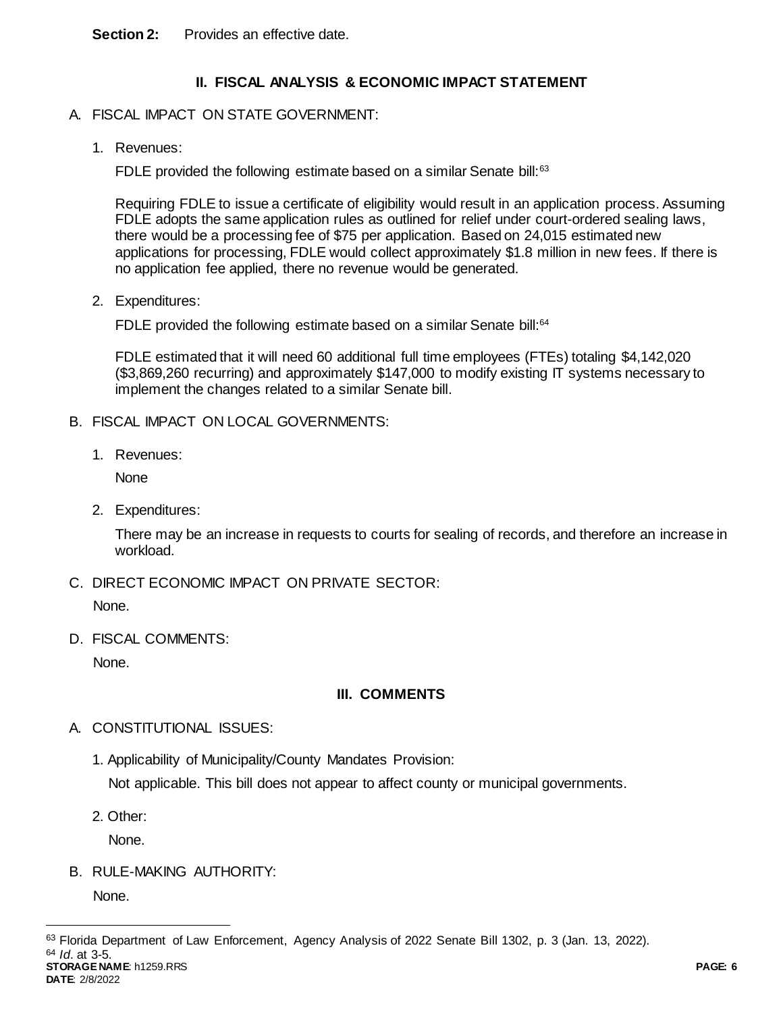**Section 2:** Provides an effective date.

# **II. FISCAL ANALYSIS & ECONOMIC IMPACT STATEMENT**

- A. FISCAL IMPACT ON STATE GOVERNMENT:
	- 1. Revenues:

FDLE provided the following estimate based on a similar Senate bill:<sup>63</sup>

Requiring FDLE to issue a certificate of eligibility would result in an application process. Assuming FDLE adopts the same application rules as outlined for relief under court-ordered sealing laws, there would be a processing fee of \$75 per application. Based on 24,015 estimated new applications for processing, FDLE would collect approximately \$1.8 million in new fees. If there is no application fee applied, there no revenue would be generated.

2. Expenditures:

FDLE provided the following estimate based on a similar Senate bill:<sup>64</sup>

FDLE estimated that it will need 60 additional full time employees (FTEs) totaling \$4,142,020 (\$3,869,260 recurring) and approximately \$147,000 to modify existing IT systems necessary to implement the changes related to a similar Senate bill.

- B. FISCAL IMPACT ON LOCAL GOVERNMENTS:
	- 1. Revenues:

**None** 

2. Expenditures:

There may be an increase in requests to courts for sealing of records, and therefore an increase in workload.

C. DIRECT ECONOMIC IMPACT ON PRIVATE SECTOR:

None.

D. FISCAL COMMENTS:

None.

## **III. COMMENTS**

- A. CONSTITUTIONAL ISSUES:
	- 1. Applicability of Municipality/County Mandates Provision:

Not applicable. This bill does not appear to affect county or municipal governments.

2. Other:

None.

B. RULE-MAKING AUTHORITY:

None.

 $\overline{a}$ 

**STORAGE NAME**: h1259.RRS **PAGE: 6**

<sup>63</sup> Florida Department of Law Enforcement, Agency Analysis of 2022 Senate Bill 1302, p. 3 (Jan. 13, 2022). <sup>64</sup> *Id*. at 3-5.